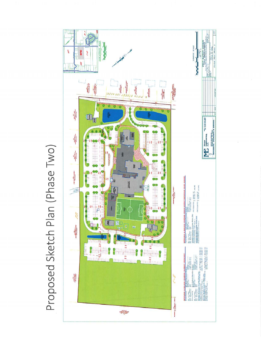

Proposed Sketch Plan (Phase Two)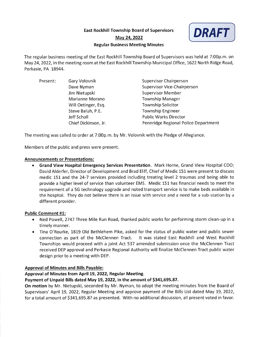**East Rockhill Township Board of Supervisors** 



## May 24, 2022

## **Regular Business Meeting Minutes**

The regular business meeting of the East Rockhill Township Board of Supervisors was held at 7:00p.m. on May 24, 2022, in the meeting room at the East Rockhill Township Municipal Office, 1622 North Ridge Road, Perkasie, PA 18944.

| Present: | Gary Volovnik        | <b>Supervisor Chairperson</b>        |
|----------|----------------------|--------------------------------------|
|          | Dave Nyman           | <b>Supervisor Vice-Chairperson</b>   |
|          | Jim Nietupski        | <b>Supervisor Member</b>             |
|          | Marianne Morano      | <b>Township Manager</b>              |
|          | Will Oetinger, Esq.  | <b>Township Solicitor</b>            |
|          | Steve Baluh, P.E.    | <b>Township Engineer</b>             |
|          | Jeff Scholl          | <b>Public Works Director</b>         |
|          | Chief Dickinson, Jr. | Pennridge Regional Police Department |

The meeting was called to order at 7:00p.m. by Mr. Volovnik with the Pledge of Allegiance.

Members of the public and press were present.

## **Announcements or Presentations:**

• Grand View Hospital Emergency Services Presentation. Mark Horne, Grand View Hospital COO; David Alderfer, Director of Development and Brad Eliff, Chief of Medic 151 were present to discuss medic 151 and the 24-7 services provided including treating level 2 traumas and being able to provide a higher level of service than volunteer EMS. Medic 151 has financial needs to meet the requirement of a 5G technology upgrade and noted transport service is to make beds available in the hospital. They do not believe there is an issue with service and a need for a sub-station by a different provider.

## **Public Comment #1:**

- Ned Powell, 2747 Three Mile Run Road, thanked public works for performing storm clean-up in a timely manner.
- Tina O'Rourke, 1819 Old Bethlehem Pike, asked for the status of public water and public sewer connection as part of the McClennen Tract. It was stated East Rockhill and West Rockhill Townships would proceed with a joint Act 537 amended submission once the McClennen Tract received DEP approval and Perkasie Regional Authority will finalize McClennen Tract public water design prior to a meeting with DEP.

## **Approval of Minutes and Bills Payable:**

## Approval of Minutes from April 19, 2022, Regular Meeting.

## Payment of Unpaid Bills dated May 19, 2022, in the amount of \$341,695.87.

On motion by Mr. Nietupski, seconded by Mr. Nyman, to adopt the meeting minutes from the Board of Supervisors' April 19, 2022, Regular Meeting and approve payment of the Bills List dated May 19, 2022, for a total amount of \$341,695.87 as presented. With no additional discussion, all present voted in favor.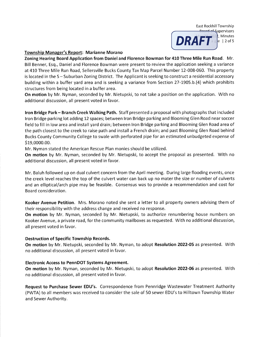

#### **Township Manager's Report: Marianne Morano**

Zoning Hearing Board Application from Daniel and Florence Bowman for 410 Three Mile Run Road. Mr. Bill Benner, Esq., Daniel and Florence Bowman were present to review the application seeking a variance at 410 Three Mile Run Road, Sellersville Bucks County Tax Map Parcel Number 12-008-060. This property is located in the S-Suburban Zoning District. The Applicant is seeking to construct a residential accessory building within a buffer yard area and is seeking a variance from Section 27-1905.b.(4) which prohibits structures from being located in a buffer area.

On motion by Mr. Nyman, seconded by Mr. Nietupski, to not take a position on the application. With no additional discussion, all present voted in favor.

Iron Bridge Park - Branch Creek Walking Path. Staff presented a proposal with photographs that included Iron Bridge parking lot adding 12 spaces; between Iron Bridge parking and Blooming Glen Road near soccer field to fill in low area and install yard drain; between Iron Bridge parking and Blooming Glen Road area of the path closest to the creek to raise path and install a French drain; and past Blooming Glen Road behind Bucks County Community College to swale with perforated pipe for an estimated unbudgeted expense of \$19,0000.00.

Mr. Nyman stated the American Rescue Plan monies should be utilized.

On motion by Mr. Nyman, seconded by Mr. Nietupski, to accept the proposal as presented. With no additional discussion, all present voted in favor.

Mr. Baluh followed up on dual culvert concern from the April meeting. During large flooding events, once the creek level reaches the top of the culvert water can back up no mater the size or number of culverts and an elliptical/arch pipe may be feasible. Consensus was to provide a recommendation and cost for Board consideration.

Kooker Avenue Petition. Mrs. Morano noted she sent a letter to all property owners advising them of their responsibility with the address change and received no response.

On motion by Mr. Nyman, seconded by Mr. Nietupski, to authorize renumbering house numbers on Kooker Avenue, a private road, for the community mailboxes as requested. With no additional discussion, all present voted in favor.

#### **Destruction of Specific Township Records.**

On motion by Mr. Nietupski, seconded by Mr. Nyman, to adopt Resolution 2022-05 as presented. With no additional discussion, all present voted in favor.

#### **Electronic Access to PennDOT Systems Agreement.**

On motion by Mr. Nyman, seconded by Mr. Nietupski, to adopt Resolution 2022-06 as presented. With no additional discussion, all present voted in favor.

Request to Purchase Sewer EDU's. Correspondence from Pennridge Wastewater Treatment Authority (PWTA) to all members was received to consider the sale of 50 sewer EDU's to Hilltown Township Water and Sewer Authority.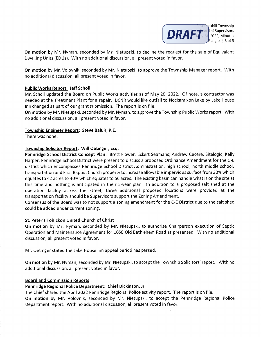

ckhill Township

On motion by Mr. Nyman, seconded by Mr. Nietupski, to decline the request for the sale of Equivalent Dwelling Units (EDUs). With no additional discussion, all present voted in favor.

On motion by Mr. Volovnik, seconded by Mr. Nietupski, to approve the Township Manager report. With no additional discussion, all present voted in favor.

## **Public Works Report: Jeff Scholl**

Mr. Scholl updated the Board on Public Works activities as of May 20, 2022. Of note, a contractor was needed at the Treatment Plant for a repair. DCNR would like outfall to Nockamixon Lake by Lake House Inn changed as part of our grant submission. The report is on file.

On motion by Mr. Nietupski, seconded by Mr. Nyman, to approve the Township Public Works report. With no additional discussion, all present voted in favor.

## Township Engineer Report: Steve Baluh, P.E.

There was none.

## Township Solicitor Report: Will Oetinger, Esq.

Pennridge School District Concept Plan. Brett Flower, Eckert Seamans; Andrew Cecere, Sitelogic; Kelly Harper, Pennridge School District were present to discuss a proposed Ordinance Amendment for the C-E district which encompasses Pennridge School District Administration, high school, north middle school, transportation and First Baptist Church property to increase allowable impervious surface from 30% which equates to 42 acres to 40% which equates to 56 acres. The existing basin can handle what is on the site at this time and nothing is anticipated in their 5-year plan. In addition to a proposed salt shed at the operation facility across the street, three additional proposed locations were provided at the transportation facility should be Supervisors support the Zoning Amendment.

Consensus of the Board was to not support a zoning amendment for the C-E District due to the salt shed could be added under current zoning.

## St. Peter's Tohickon United Church of Christ

On motion by Mr. Nyman, seconded by Mr. Nietupski, to authorize Chairperson execution of Septic Operation and Maintenance Agreement for 1050 Old Bethlehem Road as presented. With no additional discussion, all present voted in favor.

Mr. Oetinger stated the Lake House Inn appeal period has passed.

On motion by Mr. Nyman, seconded by Mr. Nietupski, to accept the Township Solicitors' report. With no additional discussion, all present voted in favor.

#### **Board and Commission Reports**

## Pennridge Regional Police Department: Chief Dickinson, Jr.

The Chief shared the April 2022 Pennridge Regional Police activity report. The report is on file.

On motion by Mr. Volovnik, seconded by Mr. Nietupski, to accept the Pennridge Regional Police Department report. With no additional discussion, all present voted in favor.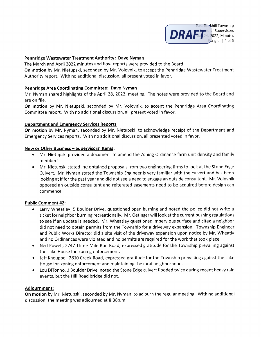

## Pennridge Wastewater Treatment Authority: Dave Nyman

The March and April 2022 minutes and flow reports were provided to the Board.

On motion by Mr. Nietupski, seconded by Mr. Volovnik, to accept the Pennridge Wastewater Treatment Authority report. With no additional discussion, all present voted in favor.

## **Pennridge Area Coordinating Committee: Dave Nyman**

Mr. Nyman shared highlights of the April 28, 2022, meeting. The notes were provided to the Board and are on file.

On motion by Mr. Nietupski, seconded by Mr. Volovnik, to accept the Pennridge Area Coordinating Committee report. With no additional discussion, all present voted in favor.

## **Department and Emergency Services Reports**

On motion by Mr. Nyman, seconded by Mr. Nietupski, to acknowledge receipt of the Department and Emergency Services reports. With no additional discussion, all presented voted in favor.

## New or Other Business - Supervisors' Items:

- Mr. Nietupski provided a document to amend the Zoning Ordinance farm unit density and family members.
- Mr. Nietupski stated he obtained proposals from two engineering firms to look at the Stone Edge Culvert. Mr. Nyman stated the Township Engineer is very familiar with the culvert and has been looking at if for the past year and did not see a need to engage an outside consultant. Mr. Volovnik opposed an outside consultant and reiterated easements need to be acquired before design can commence.

## **Public Comment #2:**

- Larry Wheatley, 5 Boulder Drive, questioned open burning and noted the police did not write a ticket for neighbor burning recreationally. Mr. Oetinger will look at the current burning regulations to see if an update is needed. Mr. Wheatley questioned impervious surface and cited a neighbor did not need to obtain permits from the Township for a driveway expansion. Township Engineer and Public Works Director did a site visit of the driveway expansion upon notice by Mr. Wheatly and no Ordinances were violated and no permits are required for the work that took place.
- Ned Powell, 2747 Three Mile Run Road, expressed gratitude for the Township prevailing against the Lake House Inn zoning enforcement.
- Jeff Kneuppel, 2810 Creek Road, expressed gratitude for the Township prevailing against the Lake House Inn zoning enforcement and maintaining the rural neighborhood.
- Lou DiTonno, 1 Boulder Drive, noted the Stone Edge culvert flooded twice during recent heavy rain events, but the Hill Road bridge did not.

## Adjournment:

On motion by Mr. Nietupski, seconded by Mr. Nyman, to adjourn the regular meeting. With no additional discussion, the meeting was adjourned at 8:38p.m.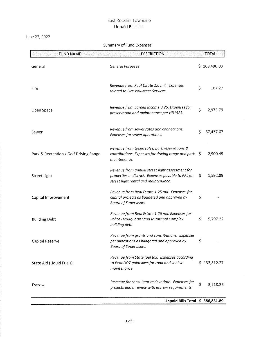June 23, 2022

| <b>FUND NAME</b>                       | <b>DESCRIPTION</b>                                                                                                                             |    | <b>TOTAL</b> |
|----------------------------------------|------------------------------------------------------------------------------------------------------------------------------------------------|----|--------------|
| General                                | <b>General Purposes</b>                                                                                                                        |    | \$168,490.03 |
| Fire                                   | Revenue from Real Estate 1.0 mil. Expenses<br>related to Fire Volunteer Services.                                                              | \$ | 107.27       |
| Open Space                             | Revenue from Earned Income 0.25. Expenses for<br>preservation and maintenance per HB1523.                                                      | \$ | 2,975.79     |
| Sewer                                  | Revenue from sewer rates and connections.<br>Expenses for sewer operations.                                                                    | \$ | 67,437.67    |
| Park & Recreation / Golf Driving Range | Revenue from token sales, park reservations &<br>contributions. Expenses for driving range and park<br>maintenance.                            | S  | 2,900.49     |
| Street Light                           | Revenue from annual street light assessment for<br>properties in district. Expenses payable to PPL for<br>street light rental and maintenance. | \$ | 1,592.89     |
| Capital Improvement                    | Revenue from Real Estate 1.25 mil. Expenses for<br>capital projects as budgeted and approved by<br>Board of Supervisors.                       | \$ |              |
| <b>Building Debt</b>                   | Revenue from Real Estate 1.26 mil. Expenses for<br>Police Headquarter and Municipal Complex<br>building debt.                                  | \$ | 5,797.22     |
| Capital Reserve                        | Revenue from grants and contributions. Expenses<br>per allocations as budgeted and approved by<br><b>Board of Supervisors.</b>                 | \$ |              |
| State Aid (Liquid Fuels)               | Revenue from State fuel tax. Expenses according<br>to PennDOT guidelines for road and vehicle<br>maintenance.                                  |    | \$133,812.27 |
| Escrow                                 | Revenue for consultant review time. Expenses for<br>projects under review with escrow requirements.                                            | \$ | 3,718.26     |

## Summary of Fund Expenses

Unpaid Bills Total \$ 386,831.89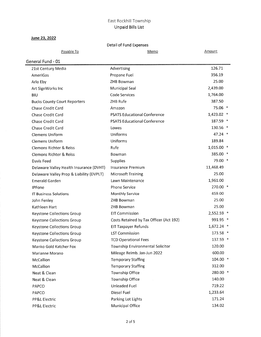## June 23, 2022

## Detail of Fund Expenses

| Payable To                               | Memo                                    | <b>Amount</b> |
|------------------------------------------|-----------------------------------------|---------------|
| General Fund - 01                        |                                         |               |
| 21st Century Media                       | Advertising                             | 126.71        |
| AmeriGas                                 | Propane Fuel                            | 356.19        |
| Arlo Eby                                 | ZHB Bowman                              | 25.00         |
| Art SignWorks Inc                        | Municipal Seal                          | 2,439.00      |
| BIU                                      | Code Services                           | 1,764.00      |
| <b>Bucks County Court Reporters</b>      | ZHB Rufe                                | 387.50        |
| Chase Credit Card                        | Amazon                                  | 75.06 *       |
| Chase Credit Card                        | <b>PSATS Educational Conference</b>     | 1,423.02 *    |
| Chase Credit Card                        | <b>PSATS Educational Conference</b>     | 187.59 *      |
| Chase Credit Card                        | Lowes                                   | 130.56 *      |
| Clemens Uniform                          | Uniforms                                | 47.24 *       |
| <b>Clemens Uniform</b>                   | Uniforms                                | 189.84        |
| Clemons Richter & Reiss                  | Rufe                                    | 1,015.00 *    |
| Clemons Richter & Reiss                  | Bowman                                  | 385.00 *      |
| Davis Feed                               | Supplies                                | 79.00 *       |
| Delaware Valley Health Insurance (DVHT)  | <b>Insurance Premium</b>                | 11,468.49     |
| Delaware Valley Prop & Liability (DVPLT) | <b>Microsoft Training</b>               | 25.00         |
| <b>Emerald Garden</b>                    | Lawn Maintenance                        | 1,961.00      |
| <b>IPFone</b>                            | <b>Phone Service</b>                    | 270.00 *      |
| <b>IT Business Solutions</b>             | <b>Monthly Service</b>                  | 459.00        |
| John Fenley                              | ZHB Bowman                              | 25.00         |
| Kathleen Hart                            | ZHB Bowman                              | 25.00         |
| Keystone Collections Group               | <b>EIT Commission</b>                   | 2,552.59 *    |
| Keystone Collections Group               | Costs Retained by Tax Officer (Act 192) | 991.95 *      |
| Keystone Collections Group               | <b>EIT Taxpayer Refunds</b>             | 1,672.24 *    |
| Keystone Collections Group               | <b>LST Commission</b>                   | 173.58 *      |
| Keystone Collections Group               | <b>TCD Operational Fees</b>             | 137.59 *      |
| Manko Gold Katcher Fox                   | Township Environmental Solicitor        | 120.00        |
| Marianne Morano                          | Mileage Reimb. Jan-Jun 2022             | 600.00        |
| McCallion                                | <b>Temporary Staffing</b>               | 104.00 *      |
| McCallion                                | <b>Temporary Staffing</b>               | 312.00        |
| Neat & Clean                             | Township Office                         | 280.00 *      |
| Neat & Clean                             | Township Office                         | 140.00        |
| PAPCO                                    | Unleaded Fuel                           | 719.22        |
| PAPCO                                    | Diesel Fuel                             | 1,233.64      |
| PP&L Electric                            | Parking Lot Lights                      | 171.24        |
| PP&L Electric                            | Municipal Office                        | 134.02        |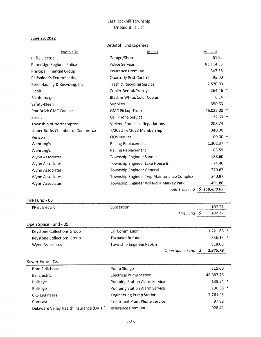#### June 23, 2022

|                                        | Detail of Fund Expenses                   |              |  |
|----------------------------------------|-------------------------------------------|--------------|--|
| Payable To                             | Memo                                      | Amount       |  |
| <b>PP&amp;L Electric</b>               | Garage/Shop                               | 61.92        |  |
| Pennridge Regional Police              | Police Service                            | 83,114.33    |  |
| Principal Financial Group              | Insurance Premium                         | 347.55       |  |
| Raifsnider's Exterminating             | Quarterly Pest Control                    | 95.00        |  |
| Reiss Hauling & Recycling, Inc.        | Trash & Recycling Service                 | 2,570.00     |  |
| Ricoh                                  | Copier Rental/Prepay                      | 264.46 *     |  |
| Ricoh-Images                           | Black & White/Color Copies                | $6.14$ *     |  |
| Safety-Kleen                           | Supplies                                  | 350.63       |  |
| <b>Star Buick GMC Cadillac</b>         | <b>GMC Pickup Truck</b>                   | 46,022.00 *  |  |
| Sprint                                 | Cell Phone Service                        | 132.69 *     |  |
| Township of Northampton                | Verizon Franchise Negotiations            | 208.74       |  |
| <b>Upper Bucks Chamber of Commerce</b> | 7/2022 - 6/2023 Membership                | 340.00       |  |
| Verizon                                | <b>FIOS service</b>                       | 109.00 *     |  |
| Wehrung's                              | <b>Railing Replacement</b>                | 1,302.37 *   |  |
| Wehrung's                              | <b>Railing Replacement</b>                | 83.59        |  |
| Wynn Associates                        | Township Engineer Sander                  | 188.60       |  |
| Wynn Associates                        | Township Engineer Lake House Inn          | 74.40        |  |
| Wynn Associates                        | Township Engineer General                 | 279.67       |  |
| Wynn Associates                        | Township Engineer Twp Maintenance Complex | 240.87       |  |
| Wynn Associates                        | Township Engineer Willard H Markey Park   | 491.80       |  |
|                                        | General Fund                              | \$168,490.03 |  |

## Fire Fund - 03

 $\Delta \phi$ 

| <b>PP&amp;L Electric</b>   | Substation                           |                 |    | 107.27       |
|----------------------------|--------------------------------------|-----------------|----|--------------|
|                            |                                      | Fire Fund \$    |    | 107.27       |
| Open Space Fund - 05       |                                      |                 |    |              |
| Keystone Collections Group | <b>EIT Commission</b>                |                 |    | $1,221.66$ * |
| Keystone Collections Group | Taxpayer Refunds                     |                 |    | 836.13 *     |
| Wynn Associates            | Township Engineer Rapkin             |                 |    | 918.00       |
|                            |                                      | Open Space Fund | -S | 2,975.79     |
| Sewer Fund - 08            |                                      |                 |    |              |
| <b>Brad S Nicholas</b>     | Pump Sludge                          |                 |    | 315.00       |
| <b>BSI Electric</b>        | <b>Electrical Pump Station</b>       |                 |    | 46,687.75    |
| <b>Bullseye</b>            | <b>Pumping Station Alarm Service</b> |                 |    | 139.24 *     |
| <b>Bullseye</b>            | <b>Pumping Station Alarm Service</b> |                 |    | 190.68 *     |
| <b>CKS Engineers</b>       | <b>Engineering Pump Station</b>      |                 |    | 7,761.03     |
| Comcast                    | Treatment Plant Phone Service        |                 |    | 97.98        |

Delaware Valley Health Insurance (DVHT) Insurance Premium

928.41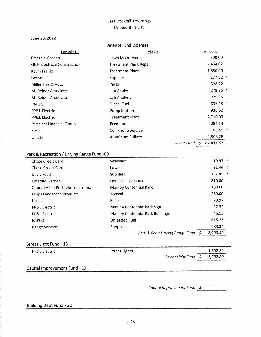## June 23, 2022

|                             | Detail of Fund Expenses       |                                |  |
|-----------------------------|-------------------------------|--------------------------------|--|
| Payable To                  | Memo                          | Amount                         |  |
| Emerald Garden              | Lawn Maintenance              | 500.00                         |  |
| G&G Electrical Construction | <b>Treatment Plant Repair</b> | 2,434.02                       |  |
| Kevin Franks                | <b>Treatment Plant</b>        | 1,850.00                       |  |
| Lawson                      | <b>Supplies</b>               | $177.32$ *                     |  |
| Miller Tire & Auto          | Parts                         | 328.22                         |  |
| MJ Reider Associates        | Lab Analysis                  | 279.95 *                       |  |
| <b>MJ Reider Associates</b> | Lab Analysis                  | 279.95                         |  |
| <b>PAPCO</b>                | Diesel Fuel                   | 636.18 *                       |  |
| PP&L Electric               | <b>Pump Station</b>           | 930.60                         |  |
| PP&L Electric               | <b>Treatment Plant</b>        | 2,010.03                       |  |
| Principal Financial Group   | Premium                       | 294.54                         |  |
| Sprint                      | Cell Phone Service            | 88.49 *                        |  |
| Univar                      | Aluminum Sulfate              | 1,508.28                       |  |
|                             |                               | Sewer Fund<br>- 5<br>67,437.67 |  |

# Park & Recreation / Driving Range Fund -09

|                                    | Park & Rec / Driving Range Fund<br>S | 2.900.49  |  |
|------------------------------------|--------------------------------------|-----------|--|
| Range Servant                      | <b>Supplies</b>                      | 683.34    |  |
| PAPCO                              | Unleaded Fuel                        | 615.25    |  |
| <b>PP&amp;L Electric</b>           | Markey Centennial Park Buildings     | 45.15     |  |
| <b>PP&amp;L Electric</b>           | Markey Centennial Park Sign          | 27.52     |  |
| Little's                           | Parts                                | 79.97     |  |
| Lapps Landscape Products           | Topsoil                              | 280.00    |  |
| George Allen Portable Toilets Inc. | Markey Centennial Park               | 160.00    |  |
| Emerald Garden                     | Lawn Maintenance                     | 810.00    |  |
| Davis Feed                         | Supplies                             | 157.85 *  |  |
| Chase Credit Card                  | Lowes                                | $21.44$ * |  |
| Chase Credit Card                  | WalMart                              | $19.97$ * |  |

## Street Light Fund - 13

| PP&L Electric                 | Street Lights | 1,592.89                                                                                                                                          |
|-------------------------------|---------------|---------------------------------------------------------------------------------------------------------------------------------------------------|
|                               |               | 1,592.89<br>Street Light Fund<br>- S<br>Service and the control of the control of the control of the control of the control of the control of the |
| Capital Improvement Fund - 19 |               |                                                                                                                                                   |

Capital Improvement Fund \$  $\blacksquare$ 

## **Building Debt Fund - 22**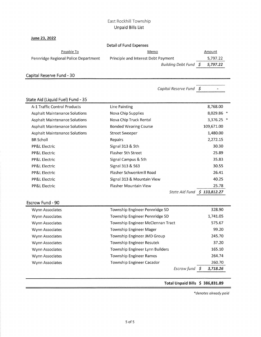## June 23, 2022

## Detail of Fund Expenses

| Pavable To                           | Memo                                | Amount                                                                                                               |
|--------------------------------------|-------------------------------------|----------------------------------------------------------------------------------------------------------------------|
| Pennridge Regional Police Department | Principle and Interest Debt Payment | 5.797.22                                                                                                             |
|                                      | Building Debt Fund S 5.797.22       | <u> Kanada ya Kasani ya Katolini ya Kasani ya Kasani ya Kasani ya Kasani ya Kasani ya Kasani ya Kasani ya Kasani</u> |

Capital Reserve Fund - 30

|                                      | Capital Reserve Fund              | \$             |  |
|--------------------------------------|-----------------------------------|----------------|--|
| State Aid (Liquid Fuel) Fund - 35    |                                   |                |  |
| A-1 Traffic Control Products         | Line Painting                     | 8,768.00       |  |
| <b>Asphalt Maintenance Solutions</b> | Nova Chip Supplies                | 8,029.86 *     |  |
| <b>Asphalt Maintenance Solutions</b> | Nova Chip Truck Rental            | 3,376.25 *     |  |
| <b>Asphalt Maintenance Solutions</b> | <b>Bonded Wearing Course</b>      | 109,671.00     |  |
| <b>Asphalt Maintenance Solutions</b> | <b>Street Sweeper</b>             | 1,480.00       |  |
| <b>BR Scholl</b>                     | Repairs                           | 2,272.15       |  |
| <b>PP&amp;L Electric</b>             | Signal 313 & 5th                  | 30.30          |  |
| <b>PP&amp;L Electric</b>             | Flasher 5th Street                | 25.89          |  |
| <b>PP&amp;L Electric</b>             | Signal Campus & 5th               | 35.83          |  |
| <b>PP&amp;L Electric</b>             | Signal 313 & 563                  | 30.55          |  |
| PP&L Electric                        | Flasher Schwenkmill Road          | 26.41          |  |
| <b>PP&amp;L Electric</b>             | Signal 313 & Mountain View        | 40.25          |  |
| <b>PP&amp;L Electric</b>             | Flasher Mountain View             | 25.78          |  |
|                                      | State Aid Fund \$ 133,812.27      |                |  |
| Escrow Fund - 90                     |                                   |                |  |
| Wynn Associates                      | Township Engineer Pennridge SD    | 328.90         |  |
| Wynn Associates                      | Township Engineer Pennridge SD    | 1,741.05       |  |
| Wynn Associates                      | Township Engineer McClennan Tract | 575.67         |  |
| Wynn Associates                      | Township Engineer Mager           | 99.20          |  |
| Wynn Associates                      | Township Engineer JMD Group       | 245.70         |  |
| Wynn Associates                      | Township Engineer Resutek         | 37.20          |  |
| Wynn Associates                      | Township Engineer Lynn Builders   | 165.10         |  |
| Wynn Associates                      | <b>Township Engineer Ramos</b>    | 264.74         |  |
| Wynn Associates                      | Township Engineer Cacador         | 260.70         |  |
|                                      | Escrow fund                       | \$<br>3,718.26 |  |
|                                      |                                   |                |  |

Total Unpaid Bills \$ 386,831.89

\*denotes already paid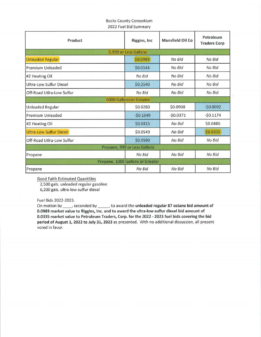## **Bucks County Consortium** 2022 Fuel Bid Summary

| Product                        | <b>Riggins, Inc.</b>             | Mansfield Oil Co | Petroleum<br><b>Traders Corp</b> |
|--------------------------------|----------------------------------|------------------|----------------------------------|
|                                | 5,999 or Less Gallons            |                  |                                  |
| <b>Unleaded Regular</b>        | \$0.0989                         | No Bid           | No Bid                           |
| Premium Unleaded               | \$0.0544                         | No Bid           | No Bid                           |
| #2 Heating Oil                 | No Bid                           | No Bid           | No Bid                           |
| Ultra-Low Sulfur Diesel        | \$0.2540                         | No Bid           | No Bid                           |
| Off-Road Utlra-Low Sulfur      | No Bid                           | No Bid           | No Bid                           |
|                                | <b>6000 Gallons or Greater</b>   |                  |                                  |
| <b>Unleaded Regular</b>        | \$0.0280                         | \$0.0908         | $-50.0092$                       |
| <b>Premium Unleaded</b>        | $-50.1349$                       | $-50.0371$       | $-50.1174$                       |
| #2 Heating Oil                 | \$0.0415                         | No Bid           | \$0.0486                         |
| <b>Ultra-Low Sulfur Diesel</b> | \$0.0549                         | No Bid           | \$0.0335                         |
| Off-Road Utlra-Low Sulfur      | \$0.0590                         | No Bid           | No Bid                           |
|                                | Propane, 999 or Less Gallons     |                  |                                  |
| Propane                        | No Bid                           | No Bid           | No Bid                           |
|                                | Propane, 1000 Gallons or Greater |                  |                                  |
| Propane                        | No Bid                           | No Bid           | No Bid                           |

**Good Faith Estimated Quantities** 

2,500 gals. unleaded regular gasoline

6,200 gals. ultra-low sulfur diesel

Fuel Bids 2022-2023.

On motion by \_\_\_\_\_, seconded by \_\_\_\_\_\_, to award the unleaded regular 87 octane bid amount of 0.0989 market value to Riggins, Inc. and to award the ultra-low sulfur diesel bid amount of 0.0335 market value to Petroleum Traders, Corp. for the 2022 - 2023 fuel bids covering the bid period of August 1, 2022 to July 31, 2023 as presented. With no additional discussion, all present voted in favor.